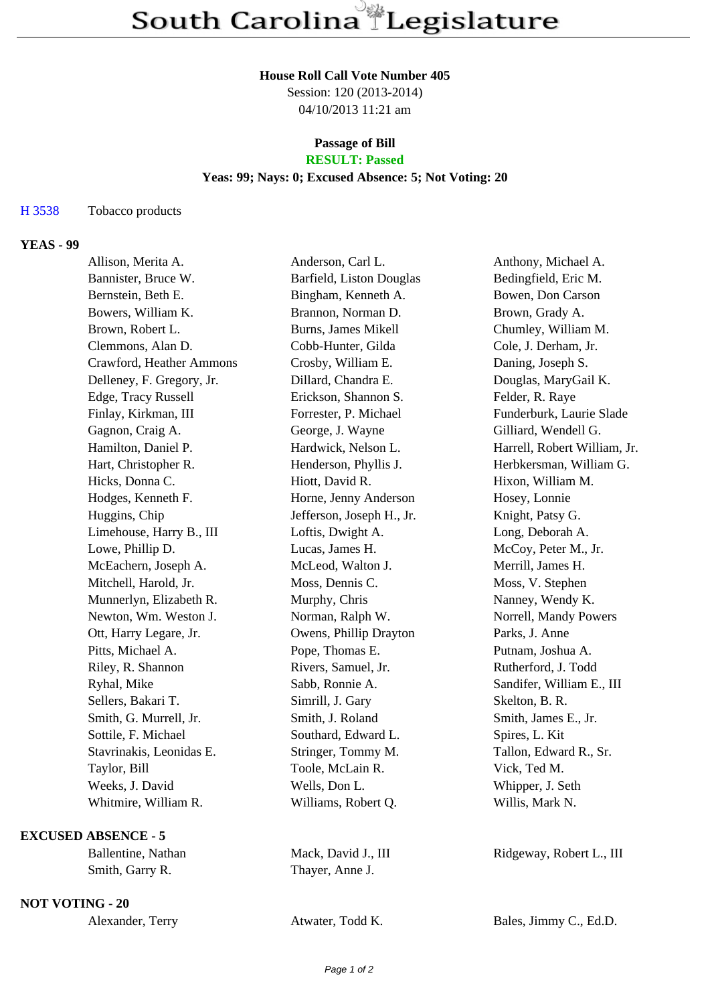#### **House Roll Call Vote Number 405**

Session: 120 (2013-2014) 04/10/2013 11:21 am

## **Passage of Bill**

# **RESULT: Passed**

## **Yeas: 99; Nays: 0; Excused Absence: 5; Not Voting: 20**

## H 3538 Tobacco products

## **YEAS - 99**

| Allison, Merita A.        | Anderson, Carl L.         | Anthony, Michael A.          |
|---------------------------|---------------------------|------------------------------|
| Bannister, Bruce W.       | Barfield, Liston Douglas  | Bedingfield, Eric M.         |
| Bernstein, Beth E.        | Bingham, Kenneth A.       | Bowen, Don Carson            |
| Bowers, William K.        | Brannon, Norman D.        | Brown, Grady A.              |
| Brown, Robert L.          | Burns, James Mikell       | Chumley, William M.          |
| Clemmons, Alan D.         | Cobb-Hunter, Gilda        | Cole, J. Derham, Jr.         |
| Crawford, Heather Ammons  | Crosby, William E.        | Daning, Joseph S.            |
| Delleney, F. Gregory, Jr. | Dillard, Chandra E.       | Douglas, MaryGail K.         |
| Edge, Tracy Russell       | Erickson, Shannon S.      | Felder, R. Raye              |
| Finlay, Kirkman, III      | Forrester, P. Michael     | Funderburk, Laurie Slade     |
| Gagnon, Craig A.          | George, J. Wayne          | Gilliard, Wendell G.         |
| Hamilton, Daniel P.       | Hardwick, Nelson L.       | Harrell, Robert William, Jr. |
| Hart, Christopher R.      | Henderson, Phyllis J.     | Herbkersman, William G.      |
| Hicks, Donna C.           | Hiott, David R.           | Hixon, William M.            |
| Hodges, Kenneth F.        | Horne, Jenny Anderson     | Hosey, Lonnie                |
| Huggins, Chip             | Jefferson, Joseph H., Jr. | Knight, Patsy G.             |
| Limehouse, Harry B., III  | Loftis, Dwight A.         | Long, Deborah A.             |
| Lowe, Phillip D.          | Lucas, James H.           | McCoy, Peter M., Jr.         |
| McEachern, Joseph A.      | McLeod, Walton J.         | Merrill, James H.            |
| Mitchell, Harold, Jr.     | Moss, Dennis C.           | Moss, V. Stephen             |
| Munnerlyn, Elizabeth R.   | Murphy, Chris             | Nanney, Wendy K.             |
| Newton, Wm. Weston J.     | Norman, Ralph W.          | Norrell, Mandy Powers        |
| Ott, Harry Legare, Jr.    | Owens, Phillip Drayton    | Parks, J. Anne               |
| Pitts, Michael A.         | Pope, Thomas E.           | Putnam, Joshua A.            |
| Riley, R. Shannon         | Rivers, Samuel, Jr.       | Rutherford, J. Todd          |
| Ryhal, Mike               | Sabb, Ronnie A.           | Sandifer, William E., III    |
| Sellers, Bakari T.        | Simrill, J. Gary          | Skelton, B. R.               |
| Smith, G. Murrell, Jr.    | Smith, J. Roland          | Smith, James E., Jr.         |
| Sottile, F. Michael       | Southard, Edward L.       | Spires, L. Kit               |
| Stavrinakis, Leonidas E.  | Stringer, Tommy M.        | Tallon, Edward R., Sr.       |
| Taylor, Bill              | Toole, McLain R.          | Vick, Ted M.                 |
| Weeks, J. David           | Wells, Don L.             | Whipper, J. Seth             |
| Whitmire, William R.      | Williams, Robert Q.       | Willis, Mark N.              |
|                           |                           |                              |

**EXCUSED ABSENCE - 5**

Smith, Garry R. Thayer, Anne J.

**NOT VOTING - 20**

| Alexander, Terry |  |
|------------------|--|
|------------------|--|

Ballentine, Nathan Mack, David J., III Ridgeway, Robert L., III

Atwater, Todd K. Bales, Jimmy C., Ed.D.